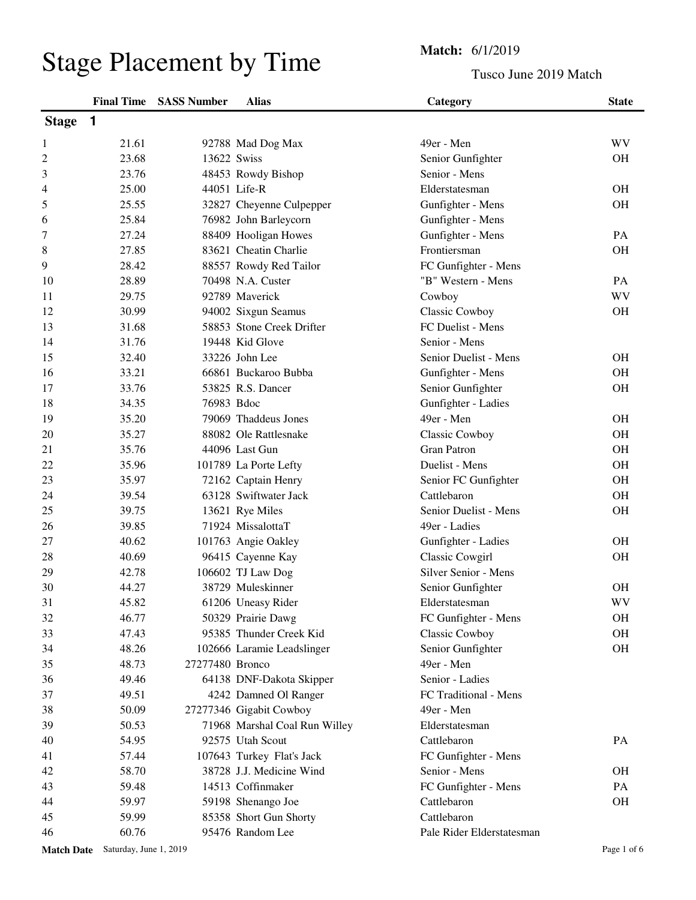## Stage Placement by Time<br>
Tusco Jun

## Tusco June 2019 Match

|                   |                        | <b>Final Time SASS Number</b> | <b>Alias</b>                  | Category                            | <b>State</b> |
|-------------------|------------------------|-------------------------------|-------------------------------|-------------------------------------|--------------|
| <b>Stage</b>      | 1                      |                               |                               |                                     |              |
| 1                 | 21.61                  |                               | 92788 Mad Dog Max             | 49er - Men                          | WV           |
| $\overline{c}$    | 23.68                  | 13622 Swiss                   |                               | Senior Gunfighter                   | <b>OH</b>    |
| 3                 | 23.76                  |                               | 48453 Rowdy Bishop            | Senior - Mens                       |              |
| 4                 | 25.00                  |                               | 44051 Life-R                  | Elderstatesman                      | <b>OH</b>    |
| 5                 | 25.55                  |                               | 32827 Cheyenne Culpepper      | Gunfighter - Mens                   | <b>OH</b>    |
| 6                 | 25.84                  |                               | 76982 John Barleycorn         | Gunfighter - Mens                   |              |
| 7                 | 27.24                  |                               | 88409 Hooligan Howes          | Gunfighter - Mens                   | PA           |
| 8                 | 27.85                  |                               | 83621 Cheatin Charlie         | Frontiersman                        | <b>OH</b>    |
| 9                 | 28.42                  |                               | 88557 Rowdy Red Tailor        | FC Gunfighter - Mens                |              |
| 10                | 28.89                  |                               | 70498 N.A. Custer             | "B" Western - Mens                  | PA           |
| 11                | 29.75                  |                               | 92789 Maverick                | Cowboy                              | WV           |
| 12                | 30.99                  |                               | 94002 Sixgun Seamus           | Classic Cowboy                      | <b>OH</b>    |
| 13                | 31.68                  |                               | 58853 Stone Creek Drifter     | FC Duelist - Mens                   |              |
| 14                | 31.76                  |                               | 19448 Kid Glove               | Senior - Mens                       |              |
| 15                | 32.40                  |                               | 33226 John Lee                | Senior Duelist - Mens               | <b>OH</b>    |
| 16                | 33.21                  |                               | 66861 Buckaroo Bubba          | Gunfighter - Mens                   | <b>OH</b>    |
| 17                | 33.76                  |                               | 53825 R.S. Dancer             | Senior Gunfighter                   | <b>OH</b>    |
| 18                | 34.35                  | 76983 Bdoc                    |                               | Gunfighter - Ladies                 |              |
| 19                | 35.20                  |                               | 79069 Thaddeus Jones          | 49er - Men                          | <b>OH</b>    |
| 20                | 35.27                  |                               | 88082 Ole Rattlesnake         | <b>Classic Cowboy</b>               | <b>OH</b>    |
| 21                | 35.76                  |                               | 44096 Last Gun                | <b>Gran Patron</b>                  | <b>OH</b>    |
| 22                | 35.96                  |                               | 101789 La Porte Lefty         | Duelist - Mens                      | <b>OH</b>    |
| 23                | 35.97                  |                               | 72162 Captain Henry           |                                     | <b>OH</b>    |
| 24                | 39.54                  |                               | 63128 Swiftwater Jack         | Senior FC Gunfighter<br>Cattlebaron | <b>OH</b>    |
|                   |                        |                               |                               |                                     |              |
| 25                | 39.75                  |                               | 13621 Rye Miles               | Senior Duelist - Mens               | OH           |
| 26                | 39.85                  |                               | 71924 MissalottaT             | 49er - Ladies                       |              |
| 27                | 40.62                  |                               | 101763 Angie Oakley           | Gunfighter - Ladies                 | <b>OH</b>    |
| 28                | 40.69                  |                               | 96415 Cayenne Kay             | Classic Cowgirl                     | <b>OH</b>    |
| 29                | 42.78                  |                               | 106602 TJ Law Dog             | Silver Senior - Mens                |              |
| 30                | 44.27                  |                               | 38729 Muleskinner             | Senior Gunfighter                   | <b>OH</b>    |
| 31                | 45.82                  |                               | 61206 Uneasy Rider            | Elderstatesman                      | <b>WV</b>    |
| 32                | 46.77                  |                               | 50329 Prairie Dawg            | FC Gunfighter - Mens                | <b>OH</b>    |
| 33                | 47.43                  |                               | 95385 Thunder Creek Kid       | Classic Cowboy                      | OH           |
| 34                | 48.26                  |                               | 102666 Laramie Leadslinger    | Senior Gunfighter                   | OH           |
| 35                | 48.73                  | 27277480 Bronco               |                               | 49er - Men                          |              |
| 36                | 49.46                  |                               | 64138 DNF-Dakota Skipper      | Senior - Ladies                     |              |
| 37                | 49.51                  |                               | 4242 Damned Ol Ranger         | FC Traditional - Mens               |              |
| 38                | 50.09                  |                               | 27277346 Gigabit Cowboy       | 49er - Men                          |              |
| 39                | 50.53                  |                               | 71968 Marshal Coal Run Willey | Elderstatesman                      |              |
| 40                | 54.95                  |                               | 92575 Utah Scout              | Cattlebaron                         | PA           |
| 41                | 57.44                  |                               | 107643 Turkey Flat's Jack     | FC Gunfighter - Mens                |              |
| 42                | 58.70                  |                               | 38728 J.J. Medicine Wind      | Senior - Mens                       | <b>OH</b>    |
| 43                | 59.48                  |                               | 14513 Coffinmaker             | FC Gunfighter - Mens                | PA           |
| 44                | 59.97                  |                               | 59198 Shenango Joe            | Cattlebaron                         | OH           |
| 45                | 59.99                  |                               | 85358 Short Gun Shorty        | Cattlebaron                         |              |
| 46                | 60.76                  |                               | 95476 Random Lee              | Pale Rider Elderstatesman           |              |
| <b>Match Date</b> | Saturday, June 1, 2019 |                               |                               |                                     | Page 1 of 6  |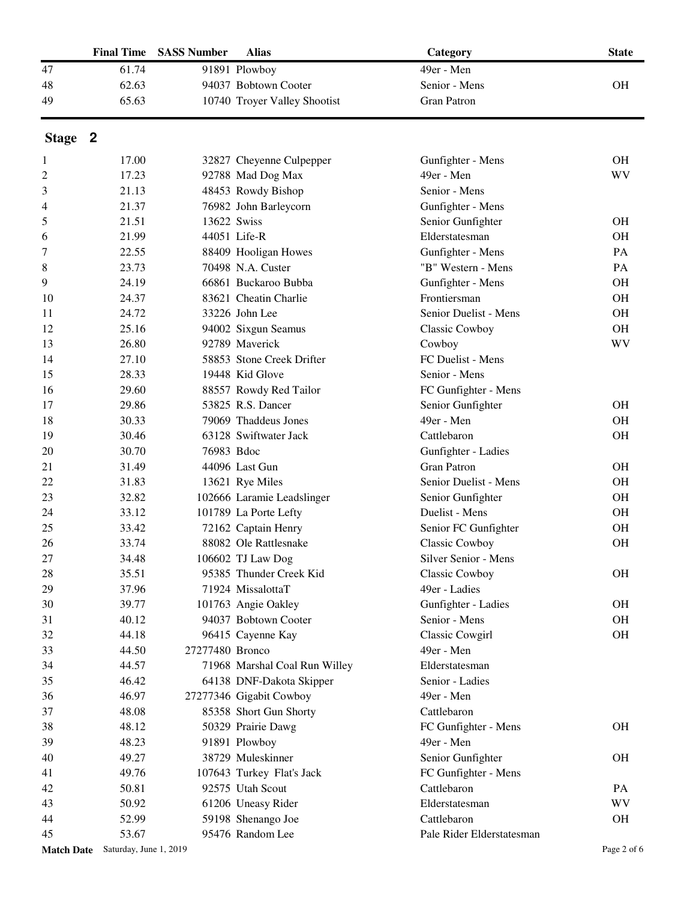|                   | <b>Final Time</b>      | <b>SASS Number</b> | <b>Alias</b>                  | Category                  | <b>State</b> |
|-------------------|------------------------|--------------------|-------------------------------|---------------------------|--------------|
| 47                | 61.74                  |                    | 91891 Plowboy                 | 49er - Men                |              |
| 48                | 62.63                  |                    | 94037 Bobtown Cooter          | Senior - Mens             | <b>OH</b>    |
| 49                | 65.63                  |                    | 10740 Troyer Valley Shootist  | <b>Gran Patron</b>        |              |
| Stage 2           |                        |                    |                               |                           |              |
| 1                 | 17.00                  |                    | 32827 Cheyenne Culpepper      | Gunfighter - Mens         | <b>OH</b>    |
| 2                 | 17.23                  |                    | 92788 Mad Dog Max             | 49er - Men                | WV           |
| 3                 | 21.13                  |                    | 48453 Rowdy Bishop            | Senior - Mens             |              |
| 4                 | 21.37                  |                    | 76982 John Barleycorn         | Gunfighter - Mens         |              |
| 5                 | 21.51                  |                    | 13622 Swiss                   | Senior Gunfighter         | <b>OH</b>    |
| 6                 | 21.99                  |                    | 44051 Life-R                  | Elderstatesman            | <b>OH</b>    |
| 7                 | 22.55                  |                    | 88409 Hooligan Howes          | Gunfighter - Mens         | PA           |
| 8                 | 23.73                  |                    | 70498 N.A. Custer             | "B" Western - Mens        | PA           |
| 9                 | 24.19                  |                    | 66861 Buckaroo Bubba          | Gunfighter - Mens         | <b>OH</b>    |
| 10                | 24.37                  |                    | 83621 Cheatin Charlie         | Frontiersman              | <b>OH</b>    |
| 11                | 24.72                  |                    | 33226 John Lee                | Senior Duelist - Mens     | <b>OH</b>    |
| 12                | 25.16                  |                    | 94002 Sixgun Seamus           | <b>Classic Cowboy</b>     | <b>OH</b>    |
| 13                | 26.80                  |                    | 92789 Maverick                | Cowboy                    | <b>WV</b>    |
| 14                | 27.10                  |                    | 58853 Stone Creek Drifter     | FC Duelist - Mens         |              |
| 15                | 28.33                  |                    | 19448 Kid Glove               | Senior - Mens             |              |
| 16                | 29.60                  |                    | 88557 Rowdy Red Tailor        | FC Gunfighter - Mens      |              |
| 17                | 29.86                  |                    | 53825 R.S. Dancer             | Senior Gunfighter         | <b>OH</b>    |
| 18                | 30.33                  |                    | 79069 Thaddeus Jones          | 49er - Men                | <b>OH</b>    |
| 19                | 30.46                  |                    | 63128 Swiftwater Jack         | Cattlebaron               | <b>OH</b>    |
| 20                | 30.70                  | 76983 Bdoc         |                               | Gunfighter - Ladies       |              |
| 21                | 31.49                  |                    | 44096 Last Gun                | <b>Gran Patron</b>        | <b>OH</b>    |
| 22                | 31.83                  |                    | 13621 Rye Miles               | Senior Duelist - Mens     | <b>OH</b>    |
| 23                | 32.82                  |                    | 102666 Laramie Leadslinger    | Senior Gunfighter         | <b>OH</b>    |
| 24                | 33.12                  |                    | 101789 La Porte Lefty         | Duelist - Mens            | <b>OH</b>    |
| 25                | 33.42                  |                    | 72162 Captain Henry           | Senior FC Gunfighter      | <b>OH</b>    |
| 26                | 33.74                  |                    | 88082 Ole Rattlesnake         | Classic Cowboy            | <b>OH</b>    |
| 27                | 34.48                  |                    | 106602 TJ Law Dog             | Silver Senior - Mens      |              |
| 28                | 35.51                  |                    | 95385 Thunder Creek Kid       | <b>Classic Cowboy</b>     | <b>OH</b>    |
| 29                | 37.96                  |                    | 71924 MissalottaT             | 49er - Ladies             |              |
| 30                | 39.77                  |                    | 101763 Angie Oakley           | Gunfighter - Ladies       | <b>OH</b>    |
| 31                | 40.12                  |                    | 94037 Bobtown Cooter          | Senior - Mens             | <b>OH</b>    |
| 32                | 44.18                  |                    | 96415 Cayenne Kay             | Classic Cowgirl           | <b>OH</b>    |
| 33                | 44.50                  | 27277480 Bronco    |                               | 49er - Men                |              |
| 34                | 44.57                  |                    | 71968 Marshal Coal Run Willey | Elderstatesman            |              |
| 35                | 46.42                  |                    | 64138 DNF-Dakota Skipper      | Senior - Ladies           |              |
| 36                | 46.97                  |                    | 27277346 Gigabit Cowboy       | 49er - Men                |              |
| 37                | 48.08                  |                    | 85358 Short Gun Shorty        | Cattlebaron               |              |
| 38                | 48.12                  |                    | 50329 Prairie Dawg            | FC Gunfighter - Mens      | <b>OH</b>    |
| 39                | 48.23                  |                    | 91891 Plowboy                 | 49er - Men                |              |
| 40                | 49.27                  |                    | 38729 Muleskinner             | Senior Gunfighter         | <b>OH</b>    |
| 41                | 49.76                  |                    | 107643 Turkey Flat's Jack     | FC Gunfighter - Mens      |              |
| 42                | 50.81                  |                    | 92575 Utah Scout              | Cattlebaron               | PA           |
| 43                | 50.92                  |                    | 61206 Uneasy Rider            | Elderstatesman            | WV           |
| 44                | 52.99                  |                    | 59198 Shenango Joe            | Cattlebaron               | <b>OH</b>    |
| 45                | 53.67                  |                    | 95476 Random Lee              | Pale Rider Elderstatesman |              |
| <b>Match Date</b> | Saturday, June 1, 2019 |                    |                               |                           | Page 2 of 6  |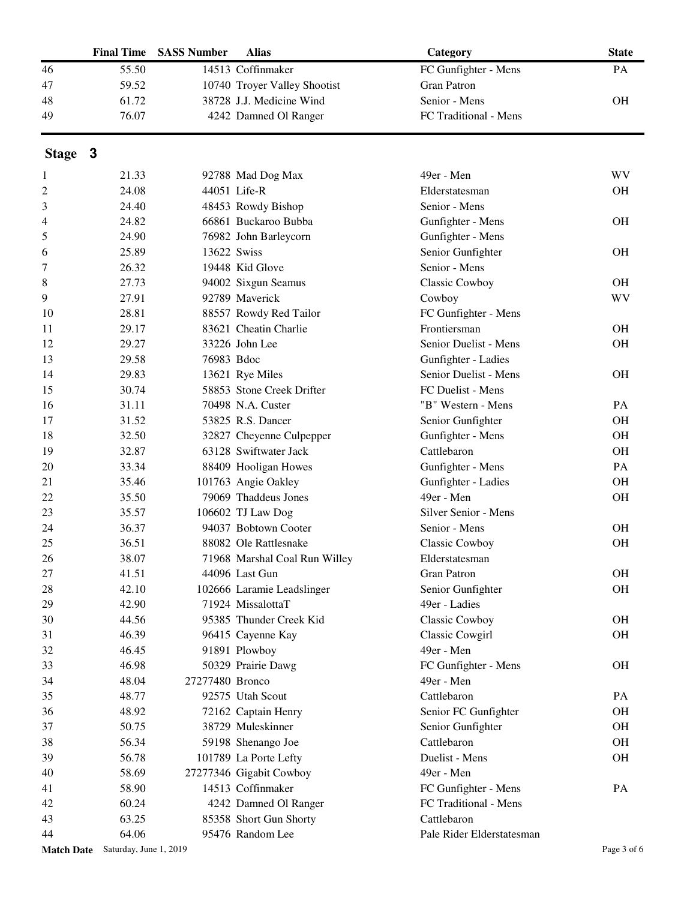|         | <b>Final Time</b>                 | <b>SASS Number</b> | <b>Alias</b>                  | Category                  | <b>State</b> |
|---------|-----------------------------------|--------------------|-------------------------------|---------------------------|--------------|
| 46      | 55.50                             |                    | 14513 Coffinmaker             | FC Gunfighter - Mens      | PA           |
| 47      | 59.52                             |                    | 10740 Troyer Valley Shootist  | <b>Gran Patron</b>        |              |
| 48      | 61.72                             |                    | 38728 J.J. Medicine Wind      | Senior - Mens             | <b>OH</b>    |
| 49      | 76.07                             |                    | 4242 Damned Ol Ranger         | FC Traditional - Mens     |              |
|         |                                   |                    |                               |                           |              |
| Stage 3 |                                   |                    |                               |                           |              |
| 1       | 21.33                             |                    | 92788 Mad Dog Max             | 49er - Men                | <b>WV</b>    |
| 2       | 24.08                             |                    | 44051 Life-R                  | Elderstatesman            | <b>OH</b>    |
| 3       | 24.40                             |                    | 48453 Rowdy Bishop            | Senior - Mens             |              |
| 4       | 24.82                             |                    | 66861 Buckaroo Bubba          | Gunfighter - Mens         | <b>OH</b>    |
| 5       | 24.90                             |                    | 76982 John Barleycorn         | Gunfighter - Mens         |              |
| 6       | 25.89                             | 13622 Swiss        |                               | Senior Gunfighter         | <b>OH</b>    |
| 7       | 26.32                             |                    | 19448 Kid Glove               | Senior - Mens             |              |
| 8       | 27.73                             |                    | 94002 Sixgun Seamus           | Classic Cowboy            | <b>OH</b>    |
| 9       | 27.91                             |                    | 92789 Maverick                | Cowboy                    | <b>WV</b>    |
| 10      | 28.81                             |                    | 88557 Rowdy Red Tailor        | FC Gunfighter - Mens      |              |
| 11      | 29.17                             |                    | 83621 Cheatin Charlie         | Frontiersman              | <b>OH</b>    |
| 12      | 29.27                             |                    | 33226 John Lee                | Senior Duelist - Mens     | <b>OH</b>    |
| 13      | 29.58                             | 76983 Bdoc         |                               | Gunfighter - Ladies       |              |
| 14      | 29.83                             |                    | 13621 Rye Miles               | Senior Duelist - Mens     | <b>OH</b>    |
| 15      | 30.74                             |                    | 58853 Stone Creek Drifter     | FC Duelist - Mens         |              |
| 16      | 31.11                             |                    | 70498 N.A. Custer             | "B" Western - Mens        | PA           |
| 17      | 31.52                             |                    | 53825 R.S. Dancer             | Senior Gunfighter         | <b>OH</b>    |
| 18      | 32.50                             |                    | 32827 Cheyenne Culpepper      | Gunfighter - Mens         | <b>OH</b>    |
| 19      | 32.87                             |                    | 63128 Swiftwater Jack         | Cattlebaron               | OH           |
| 20      | 33.34                             |                    | 88409 Hooligan Howes          | Gunfighter - Mens         | PA           |
| 21      | 35.46                             |                    | 101763 Angie Oakley           | Gunfighter - Ladies       | OH           |
| 22      | 35.50                             |                    | 79069 Thaddeus Jones          | 49er - Men                | OH           |
| 23      | 35.57                             |                    | 106602 TJ Law Dog             | Silver Senior - Mens      |              |
| 24      | 36.37                             |                    | 94037 Bobtown Cooter          | Senior - Mens             | <b>OH</b>    |
| 25      | 36.51                             |                    | 88082 Ole Rattlesnake         | Classic Cowboy            | OH           |
| 26      | 38.07                             |                    | 71968 Marshal Coal Run Willey | Elderstatesman            |              |
| 27      | 41.51                             |                    | 44096 Last Gun                | <b>Gran Patron</b>        | <b>OH</b>    |
| 28      | 42.10                             |                    | 102666 Laramie Leadslinger    | Senior Gunfighter         | OH           |
| 29      | 42.90                             |                    | 71924 MissalottaT             | 49er - Ladies             |              |
| 30      | 44.56                             |                    | 95385 Thunder Creek Kid       | Classic Cowboy            | <b>OH</b>    |
| 31      | 46.39                             |                    | 96415 Cayenne Kay             | Classic Cowgirl           | <b>OH</b>    |
| 32      | 46.45                             |                    | 91891 Plowboy                 | 49er - Men                |              |
| 33      | 46.98                             |                    | 50329 Prairie Dawg            | FC Gunfighter - Mens      | <b>OH</b>    |
| 34      | 48.04                             | 27277480 Bronco    |                               | 49er - Men                |              |
| 35      | 48.77                             |                    | 92575 Utah Scout              | Cattlebaron               | PA           |
| 36      | 48.92                             |                    | 72162 Captain Henry           | Senior FC Gunfighter      | <b>OH</b>    |
| 37      | 50.75                             |                    | 38729 Muleskinner             | Senior Gunfighter         | <b>OH</b>    |
| 38      | 56.34                             |                    | 59198 Shenango Joe            | Cattlebaron               | <b>OH</b>    |
| 39      | 56.78                             |                    | 101789 La Porte Lefty         | Duelist - Mens            | <b>OH</b>    |
| 40      | 58.69                             |                    | 27277346 Gigabit Cowboy       | 49er - Men                |              |
| 41      | 58.90                             |                    | 14513 Coffinmaker             | FC Gunfighter - Mens      | PA           |
| 42      | 60.24                             |                    | 4242 Damned Ol Ranger         | FC Traditional - Mens     |              |
| 43      | 63.25                             |                    | 85358 Short Gun Shorty        | Cattlebaron               |              |
| 44      | 64.06                             |                    | 95476 Random Lee              | Pale Rider Elderstatesman |              |
|         | Match Date Saturday, June 1, 2019 |                    |                               |                           | Page 3 of 6  |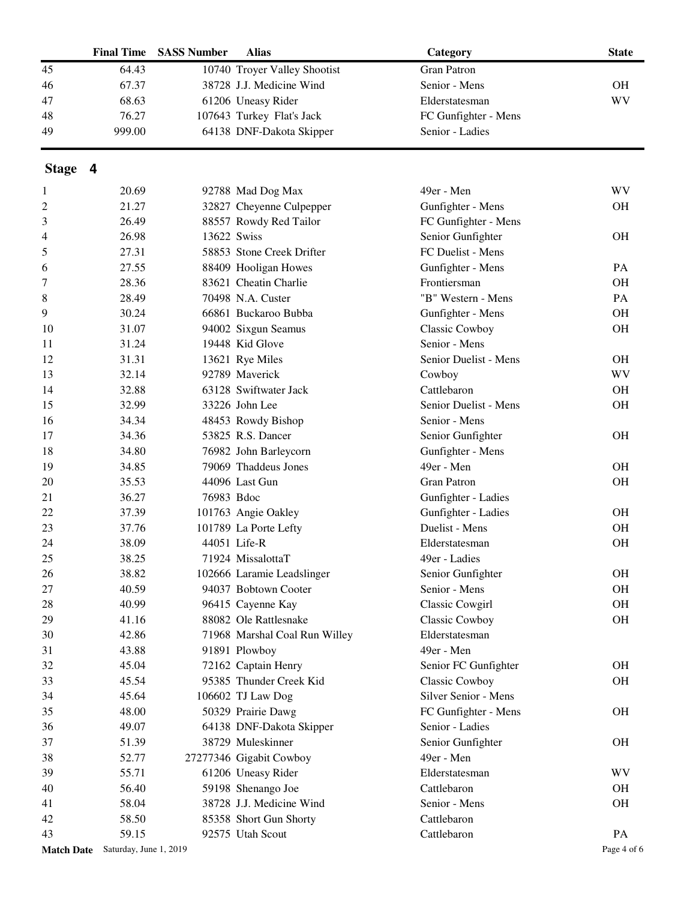|         | <b>Final Time</b> | <b>SASS Number</b> | <b>Alias</b>                  | Category               | <b>State</b> |
|---------|-------------------|--------------------|-------------------------------|------------------------|--------------|
| 45      | 64.43             |                    | 10740 Troyer Valley Shootist  | <b>Gran Patron</b>     |              |
| 46      | 67.37             |                    | 38728 J.J. Medicine Wind      | Senior - Mens          | <b>OH</b>    |
| 47      | 68.63             |                    | 61206 Uneasy Rider            | Elderstatesman         | <b>WV</b>    |
| 48      | 76.27             |                    | 107643 Turkey Flat's Jack     | FC Gunfighter - Mens   |              |
| 49      | 999.00            |                    | 64138 DNF-Dakota Skipper      | Senior - Ladies        |              |
| Stage 4 |                   |                    |                               |                        |              |
| 1       | 20.69             |                    | 92788 Mad Dog Max             | 49er - Men             | WV           |
| 2       | 21.27             |                    | 32827 Cheyenne Culpepper      | Gunfighter - Mens      | <b>OH</b>    |
| 3       | 26.49             |                    | 88557 Rowdy Red Tailor        | FC Gunfighter - Mens   |              |
| 4       | 26.98             | 13622 Swiss        |                               | Senior Gunfighter      | <b>OH</b>    |
| 5       | 27.31             |                    | 58853 Stone Creek Drifter     | FC Duelist - Mens      |              |
| 6       | 27.55             |                    | 88409 Hooligan Howes          | Gunfighter - Mens      | PA           |
| 7       | 28.36             |                    | 83621 Cheatin Charlie         | Frontiersman           | <b>OH</b>    |
| 8       | 28.49             |                    | 70498 N.A. Custer             | "B" Western - Mens     | PA           |
| 9       | 30.24             |                    | 66861 Buckaroo Bubba          | Gunfighter - Mens      | <b>OH</b>    |
| 10      | 31.07             |                    | 94002 Sixgun Seamus           | Classic Cowboy         | <b>OH</b>    |
| 11      | 31.24             |                    | 19448 Kid Glove               | Senior - Mens          |              |
| 12      | 31.31             |                    | 13621 Rye Miles               | Senior Duelist - Mens  | <b>OH</b>    |
| 13      | 32.14             |                    | 92789 Maverick                | Cowboy                 | <b>WV</b>    |
| 14      | 32.88             |                    | 63128 Swiftwater Jack         | Cattlebaron            | <b>OH</b>    |
| 15      | 32.99             |                    | 33226 John Lee                | Senior Duelist - Mens  | OH           |
| 16      | 34.34             |                    | 48453 Rowdy Bishop            | Senior - Mens          |              |
| 17      | 34.36             |                    | 53825 R.S. Dancer             | Senior Gunfighter      | <b>OH</b>    |
| 18      | 34.80             |                    | 76982 John Barleycorn         | Gunfighter - Mens      |              |
| 19      | 34.85             |                    | 79069 Thaddeus Jones          | 49er - Men             | <b>OH</b>    |
| 20      | 35.53             |                    | 44096 Last Gun                | <b>Gran Patron</b>     | <b>OH</b>    |
| 21      | 36.27             | 76983 Bdoc         |                               | Gunfighter - Ladies    |              |
| 22      | 37.39             |                    | 101763 Angie Oakley           | Gunfighter - Ladies    | <b>OH</b>    |
| 23      | 37.76             |                    | 101789 La Porte Lefty         | Duelist - Mens         | <b>OH</b>    |
| 24      | 38.09             |                    | 44051 Life-R                  | Elderstatesman         | <b>OH</b>    |
| 25      | 38.25             |                    | 71924 MissalottaT             | 49er - Ladies          |              |
| 26      | 38.82             |                    | 102666 Laramie Leadslinger    | Senior Gunfighter      | <b>OH</b>    |
| 27      | 40.59             |                    | 94037 Bobtown Cooter          | Senior - Mens          | OH           |
| 28      | 40.99             |                    | 96415 Cayenne Kay             | <b>Classic Cowgirl</b> | <b>OH</b>    |
| 29      | 41.16             |                    | 88082 Ole Rattlesnake         | <b>Classic Cowboy</b>  | <b>OH</b>    |
| 30      | 42.86             |                    | 71968 Marshal Coal Run Willey | Elderstatesman         |              |
| 31      | 43.88             |                    | 91891 Plowboy                 | 49er - Men             |              |
| 32      | 45.04             |                    | 72162 Captain Henry           | Senior FC Gunfighter   | <b>OH</b>    |
| 33      | 45.54             |                    | 95385 Thunder Creek Kid       | Classic Cowboy         | <b>OH</b>    |
| 34      | 45.64             |                    | 106602 TJ Law Dog             | Silver Senior - Mens   |              |
| 35      | 48.00             |                    | 50329 Prairie Dawg            | FC Gunfighter - Mens   | <b>OH</b>    |
| 36      | 49.07             |                    | 64138 DNF-Dakota Skipper      | Senior - Ladies        |              |
| 37      | 51.39             |                    | 38729 Muleskinner             | Senior Gunfighter      | <b>OH</b>    |
| 38      | 52.77             |                    | 27277346 Gigabit Cowboy       | 49er - Men             |              |
| 39      | 55.71             |                    | 61206 Uneasy Rider            | Elderstatesman         | <b>WV</b>    |
| 40      | 56.40             |                    | 59198 Shenango Joe            | Cattlebaron            | $\rm OH$     |

58.04 38728 J.J. Medicine Wind Senior - Mens OH

58.50 85358 Short Gun Shorty Cattlebaron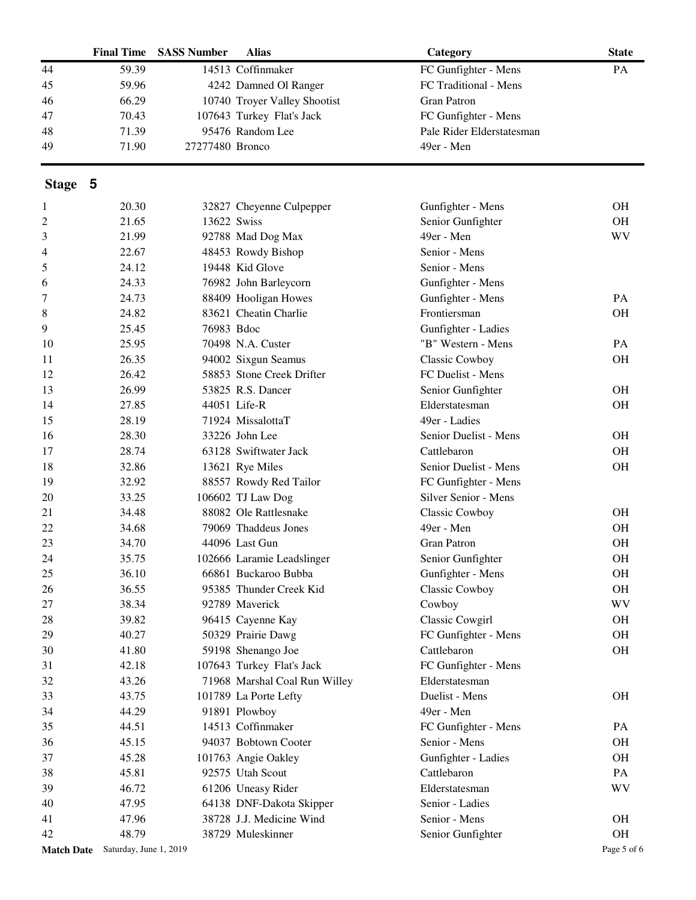|         | <b>Final Time</b>                 | <b>SASS Number</b> | <b>Alias</b>                  | Category                  | <b>State</b> |
|---------|-----------------------------------|--------------------|-------------------------------|---------------------------|--------------|
| 44      | 59.39                             |                    | 14513 Coffinmaker             | FC Gunfighter - Mens      | PA           |
| 45      | 59.96                             |                    | 4242 Damned Ol Ranger         | FC Traditional - Mens     |              |
| 46      | 66.29                             |                    | 10740 Troyer Valley Shootist  | <b>Gran Patron</b>        |              |
| 47      | 70.43                             |                    | 107643 Turkey Flat's Jack     | FC Gunfighter - Mens      |              |
| 48      | 71.39                             |                    | 95476 Random Lee              | Pale Rider Elderstatesman |              |
| 49      | 71.90                             | 27277480 Bronco    |                               | 49er - Men                |              |
| Stage 5 |                                   |                    |                               |                           |              |
| 1       | 20.30                             |                    | 32827 Cheyenne Culpepper      | Gunfighter - Mens         | <b>OH</b>    |
| 2       | 21.65                             | 13622 Swiss        |                               | Senior Gunfighter         | OH           |
| 3       | 21.99                             |                    | 92788 Mad Dog Max             | 49er - Men                | WV           |
| 4       | 22.67                             |                    | 48453 Rowdy Bishop            | Senior - Mens             |              |
| 5       | 24.12                             |                    | 19448 Kid Glove               | Senior - Mens             |              |
| 6       | 24.33                             |                    | 76982 John Barleycorn         | Gunfighter - Mens         |              |
| 7       | 24.73                             |                    | 88409 Hooligan Howes          | Gunfighter - Mens         | PA           |
| 8       | 24.82                             |                    | 83621 Cheatin Charlie         | Frontiersman              | <b>OH</b>    |
|         | 25.45                             | 76983 Bdoc         |                               |                           |              |
| 9       |                                   |                    |                               | Gunfighter - Ladies       |              |
| 10      | 25.95                             |                    | 70498 N.A. Custer             | "B" Western - Mens        | PA           |
| 11      | 26.35                             |                    | 94002 Sixgun Seamus           | <b>Classic Cowboy</b>     | <b>OH</b>    |
| 12      | 26.42                             |                    | 58853 Stone Creek Drifter     | FC Duelist - Mens         |              |
| 13      | 26.99                             |                    | 53825 R.S. Dancer             | Senior Gunfighter         | <b>OH</b>    |
| 14      | 27.85                             |                    | 44051 Life-R                  | Elderstatesman            | <b>OH</b>    |
| 15      | 28.19                             |                    | 71924 MissalottaT             | 49er - Ladies             |              |
| 16      | 28.30                             |                    | 33226 John Lee                | Senior Duelist - Mens     | <b>OH</b>    |
| 17      | 28.74                             |                    | 63128 Swiftwater Jack         | Cattlebaron               | <b>OH</b>    |
| 18      | 32.86                             |                    | 13621 Rye Miles               | Senior Duelist - Mens     | OH           |
| 19      | 32.92                             |                    | 88557 Rowdy Red Tailor        | FC Gunfighter - Mens      |              |
| 20      | 33.25                             |                    | 106602 TJ Law Dog             | Silver Senior - Mens      |              |
| 21      | 34.48                             |                    | 88082 Ole Rattlesnake         | <b>Classic Cowboy</b>     | <b>OH</b>    |
| 22      | 34.68                             |                    | 79069 Thaddeus Jones          | 49er - Men                | <b>OH</b>    |
| 23      | 34.70                             |                    | 44096 Last Gun                | <b>Gran Patron</b>        | <b>OH</b>    |
| 24      | 35.75                             |                    | 102666 Laramie Leadslinger    | Senior Gunfighter         | OH           |
| 25      | 36.10                             |                    | 66861 Buckaroo Bubba          | Gunfighter - Mens         | <b>OH</b>    |
| 26      | 36.55                             |                    | 95385 Thunder Creek Kid       | Classic Cowboy            | OH           |
| 27      | 38.34                             |                    | 92789 Maverick                | Cowboy                    | WV           |
| 28      | 39.82                             |                    | 96415 Cayenne Kay             | Classic Cowgirl           | <b>OH</b>    |
| 29      | 40.27                             |                    | 50329 Prairie Dawg            | FC Gunfighter - Mens      | <b>OH</b>    |
| 30      | 41.80                             |                    | 59198 Shenango Joe            | Cattlebaron               | <b>OH</b>    |
| 31      | 42.18                             |                    | 107643 Turkey Flat's Jack     | FC Gunfighter - Mens      |              |
| 32      | 43.26                             |                    | 71968 Marshal Coal Run Willey | Elderstatesman            |              |
| 33      | 43.75                             |                    | 101789 La Porte Lefty         | Duelist - Mens            | <b>OH</b>    |
| 34      | 44.29                             |                    | 91891 Plowboy                 | 49er - Men                |              |
| 35      | 44.51                             |                    | 14513 Coffinmaker             | FC Gunfighter - Mens      | PA           |
| 36      | 45.15                             |                    | 94037 Bobtown Cooter          | Senior - Mens             | <b>OH</b>    |
| 37      | 45.28                             |                    | 101763 Angie Oakley           | Gunfighter - Ladies       | <b>OH</b>    |
| 38      | 45.81                             |                    | 92575 Utah Scout              | Cattlebaron               | PA           |
| 39      | 46.72                             |                    | 61206 Uneasy Rider            | Elderstatesman            | WV           |
| 40      | 47.95                             |                    | 64138 DNF-Dakota Skipper      | Senior - Ladies           |              |
| 41      | 47.96                             |                    | 38728 J.J. Medicine Wind      | Senior - Mens             | <b>OH</b>    |
| 42      | 48.79                             |                    | 38729 Muleskinner             | Senior Gunfighter         | $\rm OH$     |
|         | Match Date Saturday, June 1, 2019 |                    |                               |                           | Page 5 of 6  |